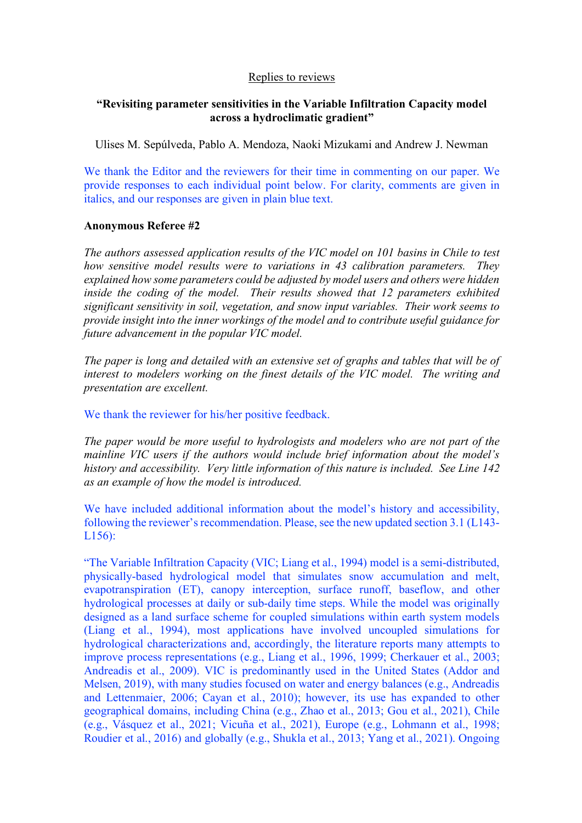## Replies to reviews

## **"Revisiting parameter sensitivities in the Variable Infiltration Capacity model across a hydroclimatic gradient"**

Ulises M. Sepúlveda, Pablo A. Mendoza, Naoki Mizukami and Andrew J. Newman

We thank the Editor and the reviewers for their time in commenting on our paper. We provide responses to each individual point below. For clarity, comments are given in italics, and our responses are given in plain blue text.

## **Anonymous Referee #2**

*The authors assessed application results of the VIC model on 101 basins in Chile to test how sensitive model results were to variations in 43 calibration parameters. They explained how some parameters could be adjusted by model users and others were hidden inside the coding of the model. Their results showed that 12 parameters exhibited significant sensitivity in soil, vegetation, and snow input variables. Their work seems to provide insight into the inner workings of the model and to contribute useful guidance for future advancement in the popular VIC model.* 

*The paper is long and detailed with an extensive set of graphs and tables that will be of interest to modelers working on the finest details of the VIC model. The writing and presentation are excellent.* 

We thank the reviewer for his/her positive feedback.

*The paper would be more useful to hydrologists and modelers who are not part of the mainline VIC users if the authors would include brief information about the model's history and accessibility. Very little information of this nature is included. See Line 142 as an example of how the model is introduced.*

We have included additional information about the model's history and accessibility, following the reviewer's recommendation. Please, see the new updated section 3.1 (L143- L156):

"The Variable Infiltration Capacity (VIC; Liang et al., 1994) model is a semi-distributed, physically-based hydrological model that simulates snow accumulation and melt, evapotranspiration (ET), canopy interception, surface runoff, baseflow, and other hydrological processes at daily or sub-daily time steps. While the model was originally designed as a land surface scheme for coupled simulations within earth system models (Liang et al., 1994), most applications have involved uncoupled simulations for hydrological characterizations and, accordingly, the literature reports many attempts to improve process representations (e.g., Liang et al., 1996, 1999; Cherkauer et al., 2003; Andreadis et al., 2009). VIC is predominantly used in the United States (Addor and Melsen, 2019), with many studies focused on water and energy balances (e.g., Andreadis and Lettenmaier, 2006; Cayan et al., 2010); however, its use has expanded to other geographical domains, including China (e.g., Zhao et al., 2013; Gou et al., 2021), Chile (e.g., Vásquez et al., 2021; Vicuña et al., 2021), Europe (e.g., Lohmann et al., 1998; Roudier et al., 2016) and globally (e.g., Shukla et al., 2013; Yang et al., 2021). Ongoing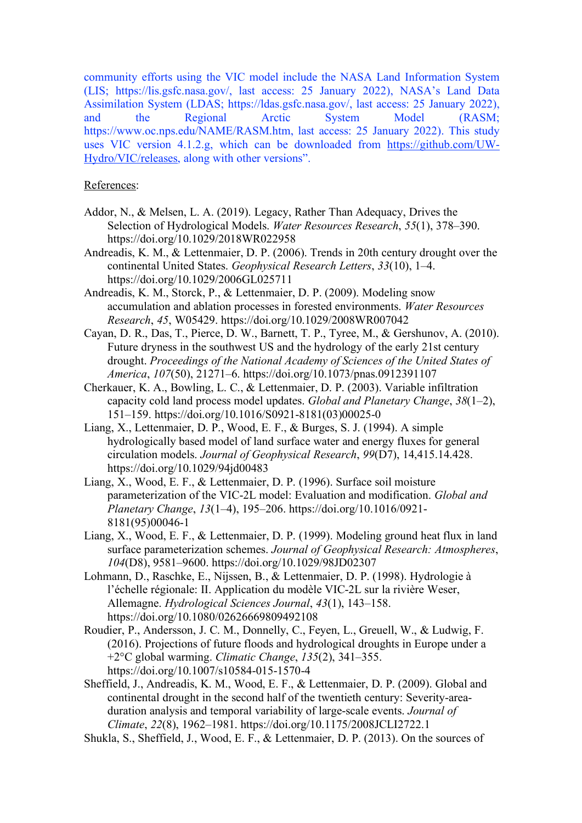community efforts using the VIC model include the NASA Land Information System (LIS; https://lis.gsfc.nasa.gov/, last access: 25 January 2022), NASA's Land Data Assimilation System (LDAS; https://ldas.gsfc.nasa.gov/, last access: 25 January 2022), and the Regional Arctic System Model (RASM; https://www.oc.nps.edu/NAME/RASM.htm, last access: 25 January 2022). This study uses VIC version 4.1.2.g, which can be downloaded from https://github.com/UW-Hydro/VIC/releases, along with other versions".

## References:

- Addor, N., & Melsen, L. A. (2019). Legacy, Rather Than Adequacy, Drives the Selection of Hydrological Models. *Water Resources Research*, *55*(1), 378–390. https://doi.org/10.1029/2018WR022958
- Andreadis, K. M., & Lettenmaier, D. P. (2006). Trends in 20th century drought over the continental United States. *Geophysical Research Letters*, *33*(10), 1–4. https://doi.org/10.1029/2006GL025711
- Andreadis, K. M., Storck, P., & Lettenmaier, D. P. (2009). Modeling snow accumulation and ablation processes in forested environments. *Water Resources Research*, *45*, W05429. https://doi.org/10.1029/2008WR007042
- Cayan, D. R., Das, T., Pierce, D. W., Barnett, T. P., Tyree, M., & Gershunov, A. (2010). Future dryness in the southwest US and the hydrology of the early 21st century drought. *Proceedings of the National Academy of Sciences of the United States of America*, *107*(50), 21271–6. https://doi.org/10.1073/pnas.0912391107
- Cherkauer, K. A., Bowling, L. C., & Lettenmaier, D. P. (2003). Variable infiltration capacity cold land process model updates. *Global and Planetary Change*, *38*(1–2), 151–159. https://doi.org/10.1016/S0921-8181(03)00025-0
- Liang, X., Lettenmaier, D. P., Wood, E. F., & Burges, S. J. (1994). A simple hydrologically based model of land surface water and energy fluxes for general circulation models. *Journal of Geophysical Research*, *99*(D7), 14,415.14.428. https://doi.org/10.1029/94jd00483
- Liang, X., Wood, E. F., & Lettenmaier, D. P. (1996). Surface soil moisture parameterization of the VIC-2L model: Evaluation and modification. *Global and Planetary Change*, *13*(1–4), 195–206. https://doi.org/10.1016/0921- 8181(95)00046-1
- Liang, X., Wood, E. F., & Lettenmaier, D. P. (1999). Modeling ground heat flux in land surface parameterization schemes. *Journal of Geophysical Research: Atmospheres*, *104*(D8), 9581–9600. https://doi.org/10.1029/98JD02307
- Lohmann, D., Raschke, E., Nijssen, B., & Lettenmaier, D. P. (1998). Hydrologie à l'échelle régionale: II. Application du modèle VIC-2L sur la rivière Weser, Allemagne. *Hydrological Sciences Journal*, *43*(1), 143–158. https://doi.org/10.1080/02626669809492108
- Roudier, P., Andersson, J. C. M., Donnelly, C., Feyen, L., Greuell, W., & Ludwig, F. (2016). Projections of future floods and hydrological droughts in Europe under a +2°C global warming. *Climatic Change*, *135*(2), 341–355. https://doi.org/10.1007/s10584-015-1570-4
- Sheffield, J., Andreadis, K. M., Wood, E. F., & Lettenmaier, D. P. (2009). Global and continental drought in the second half of the twentieth century: Severity-areaduration analysis and temporal variability of large-scale events. *Journal of Climate*, *22*(8), 1962–1981. https://doi.org/10.1175/2008JCLI2722.1
- Shukla, S., Sheffield, J., Wood, E. F., & Lettenmaier, D. P. (2013). On the sources of